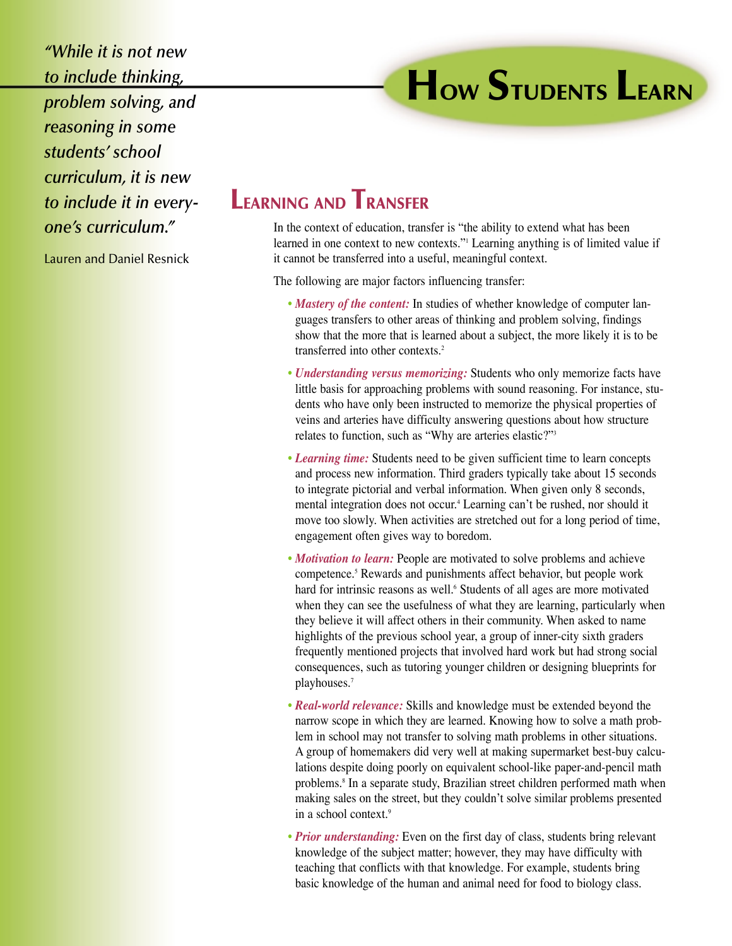*"While it is not new to include thinking, problem solving, and reasoning in some students' school curriculum, it is new to include it in everyone's curriculum."*

Lauren and Daniel Resnick

## **HOW STUDENTS LEARN**

## **LEARNING AND TRANSFER**

In the context of education, transfer is "the ability to extend what has been learned in one context to new contexts."1 Learning anything is of limited value if it cannot be transferred into a useful, meaningful context.

The following are major factors influencing transfer:

- *Mastery of the content:* In studies of whether knowledge of computer languages transfers to other areas of thinking and problem solving, findings show that the more that is learned about a subject, the more likely it is to be transferred into other contexts.<sup>2</sup>
- *Understanding versus memorizing:* Students who only memorize facts have little basis for approaching problems with sound reasoning. For instance, students who have only been instructed to memorize the physical properties of veins and arteries have difficulty answering questions about how structure relates to function, such as "Why are arteries elastic?"3
- *Learning time:* Students need to be given sufficient time to learn concepts and process new information. Third graders typically take about 15 seconds to integrate pictorial and verbal information. When given only 8 seconds, mental integration does not occur.<sup>4</sup> Learning can't be rushed, nor should it move too slowly. When activities are stretched out for a long period of time, engagement often gives way to boredom.
- *Motivation to learn:* People are motivated to solve problems and achieve competence.5 Rewards and punishments affect behavior, but people work hard for intrinsic reasons as well.<sup>6</sup> Students of all ages are more motivated when they can see the usefulness of what they are learning, particularly when they believe it will affect others in their community. When asked to name highlights of the previous school year, a group of inner-city sixth graders frequently mentioned projects that involved hard work but had strong social consequences, such as tutoring younger children or designing blueprints for playhouses.7
- *Real-world relevance:* Skills and knowledge must be extended beyond the narrow scope in which they are learned. Knowing how to solve a math problem in school may not transfer to solving math problems in other situations. A group of homemakers did very well at making supermarket best-buy calculations despite doing poorly on equivalent school-like paper-and-pencil math problems.<sup>8</sup> In a separate study, Brazilian street children performed math when making sales on the street, but they couldn't solve similar problems presented in a school context.9
- *Prior understanding:* Even on the first day of class, students bring relevant knowledge of the subject matter; however, they may have difficulty with teaching that conflicts with that knowledge. For example, students bring basic knowledge of the human and animal need for food to biology class.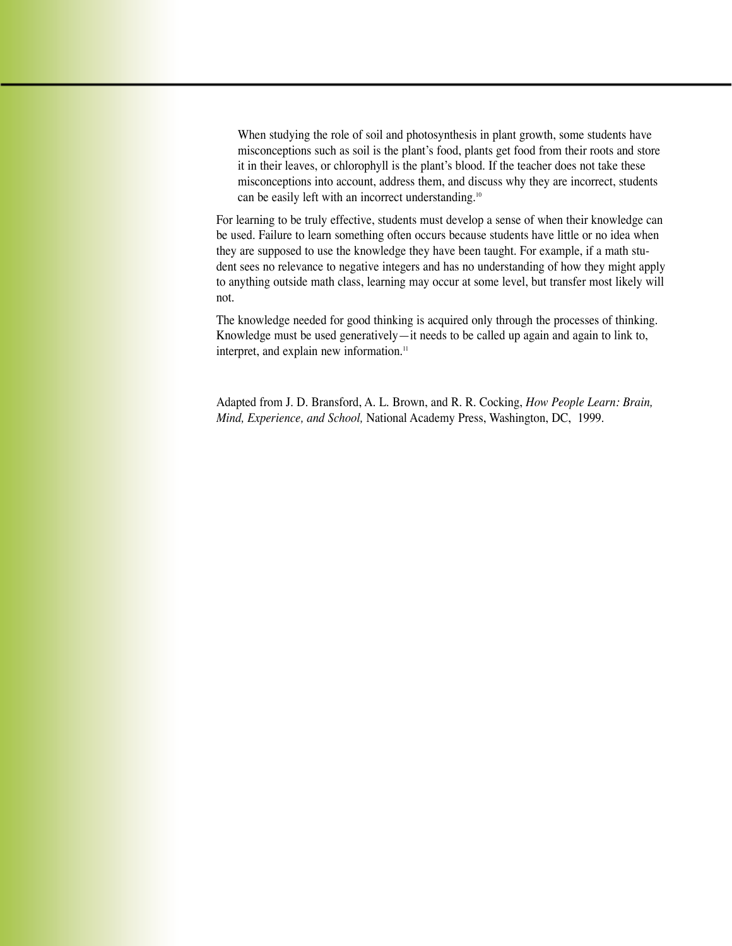When studying the role of soil and photosynthesis in plant growth, some students have misconceptions such as soil is the plant's food, plants get food from their roots and store it in their leaves, or chlorophyll is the plant's blood. If the teacher does not take these misconceptions into account, address them, and discuss why they are incorrect, students can be easily left with an incorrect understanding.<sup>10</sup>

For learning to be truly effective, students must develop a sense of when their knowledge can be used. Failure to learn something often occurs because students have little or no idea when they are supposed to use the knowledge they have been taught. For example, if a math student sees no relevance to negative integers and has no understanding of how they might apply to anything outside math class, learning may occur at some level, but transfer most likely will not.

The knowledge needed for good thinking is acquired only through the processes of thinking. Knowledge must be used generatively—it needs to be called up again and again to link to, interpret, and explain new information.<sup>11</sup>

Adapted from J. D. Bransford, A. L. Brown, and R. R. Cocking, *How People Learn: Brain, Mind, Experience, and School,* National Academy Press, Washington, DC, 1999.